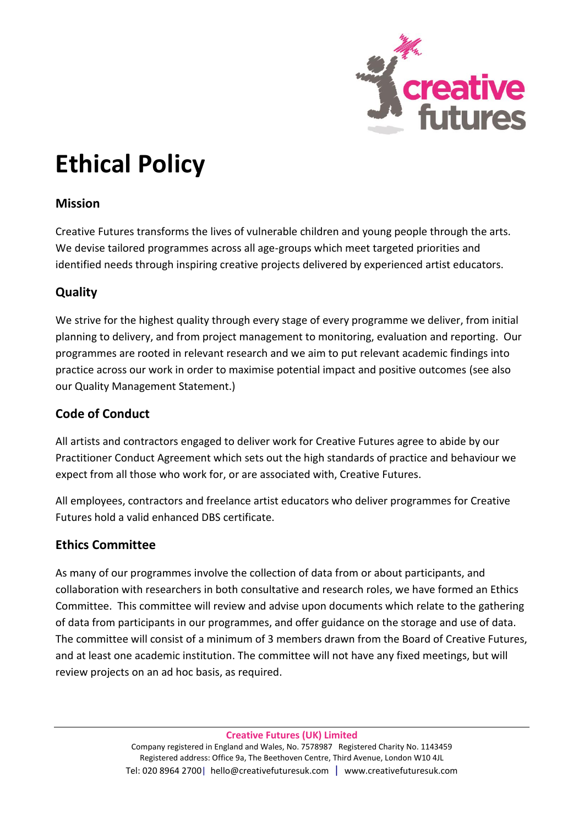

# **Ethical Policy**

### **Mission**

Creative Futures transforms the lives of vulnerable children and young people through the arts. We devise tailored programmes across all age-groups which meet targeted priorities and identified needs through inspiring creative projects delivered by experienced artist educators.

## **Quality**

We strive for the highest quality through every stage of every programme we deliver, from initial planning to delivery, and from project management to monitoring, evaluation and reporting. Our programmes are rooted in relevant research and we aim to put relevant academic findings into practice across our work in order to maximise potential impact and positive outcomes (see also our Quality Management Statement.)

### **Code of Conduct**

All artists and contractors engaged to deliver work for Creative Futures agree to abide by our Practitioner Conduct Agreement which sets out the high standards of practice and behaviour we expect from all those who work for, or are associated with, Creative Futures.

All employees, contractors and freelance artist educators who deliver programmes for Creative Futures hold a valid enhanced DBS certificate.

#### **Ethics Committee**

As many of our programmes involve the collection of data from or about participants, and collaboration with researchers in both consultative and research roles, we have formed an Ethics Committee. This committee will review and advise upon documents which relate to the gathering of data from participants in our programmes, and offer guidance on the storage and use of data. The committee will consist of a minimum of 3 members drawn from the Board of Creative Futures, and at least one academic institution. The committee will not have any fixed meetings, but will review projects on an ad hoc basis, as required.